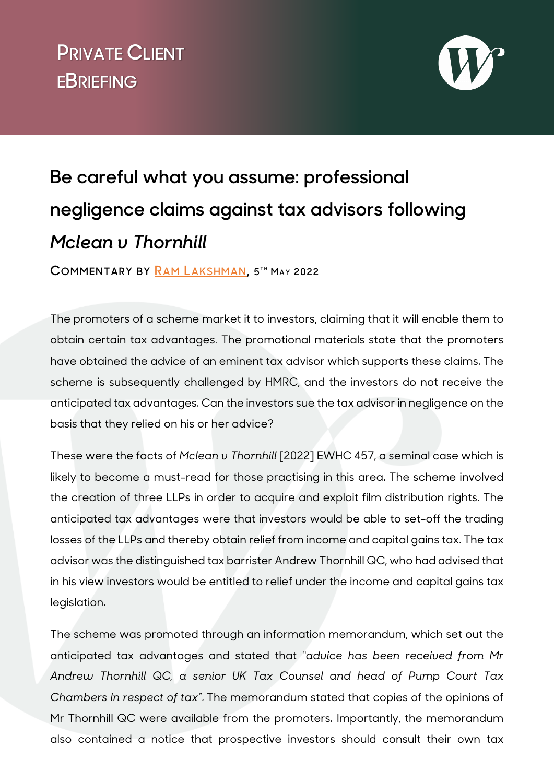## **v PRIVATE CLIENT EBRIEFING**



## **Be careful what you assume: professional negligence claims against tax advisors following**  *Mclean v Thornhill*

**COMMENTARY BY [RAM LAKSHMAN](https://www.wilberforce.co.uk/people/ram-lakshman/), 5 T H MA Y 2022**

The promoters of a scheme market it to investors, claiming that it will enable them to obtain certain tax advantages. The promotional materials state that the promoters have obtained the advice of an eminent tax advisor which supports these claims. The scheme is subsequently challenged by HMRC, and the investors do not receive the anticipated tax advantages. Can the investors sue the tax advisor in negligence on the basis that they relied on his or her advice?

These were the facts of *Mclean v Thornhill* [2022] EWHC 457, a seminal case which is likely to become a must-read for those practising in this area. The scheme involved the creation of three LLPs in order to acquire and exploit film distribution rights. The anticipated tax advantages were that investors would be able to set-off the trading losses of the LLPs and thereby obtain relief from income and capital gains tax. The tax advisor was the distinguished tax barrister Andrew Thornhill QC, who had advised that in his view investors would be entitled to relief under the income and capital gains tax legislation.

The scheme was promoted through an information memorandum, which set out the anticipated tax advantages and stated that *"advice has been received from Mr Andrew Thornhill QC, a senior UK Tax Counsel and head of Pump Court Tax Chambers in respect of tax"*. The memorandum stated that copies of the opinions of Mr Thornhill QC were available from the promoters. Importantly, the memorandum also contained a notice that prospective investors should consult their own tax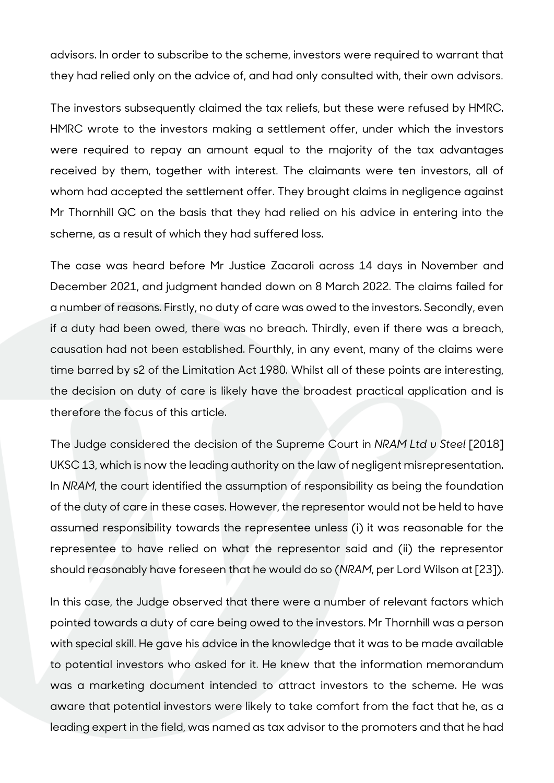advisors. In order to subscribe to the scheme, investors were required to warrant that they had relied only on the advice of, and had only consulted with, their own advisors.

The investors subsequently claimed the tax reliefs, but these were refused by HMRC. HMRC wrote to the investors making a settlement offer, under which the investors were required to repay an amount equal to the majority of the tax advantages received by them, together with interest. The claimants were ten investors, all of whom had accepted the settlement offer. They brought claims in negligence against Mr Thornhill QC on the basis that they had relied on his advice in entering into the scheme, as a result of which they had suffered loss.

The case was heard before Mr Justice Zacaroli across 14 days in November and December 2021, and judgment handed down on 8 March 2022. The claims failed for a number of reasons. Firstly, no duty of care was owed to the investors. Secondly, even if a duty had been owed, there was no breach. Thirdly, even if there was a breach, causation had not been established. Fourthly, in any event, many of the claims were time barred by s2 of the Limitation Act 1980. Whilst all of these points are interesting, the decision on duty of care is likely have the broadest practical application and is therefore the focus of this article.

The Judge considered the decision of the Supreme Court in *NRAM Ltd v Steel* [2018] UKSC 13, which is now the leading authority on the law of negligent misrepresentation. In *NRAM*, the court identified the assumption of responsibility as being the foundation of the duty of care in these cases. However, the representor would not be held to have assumed responsibility towards the representee unless (i) it was reasonable for the representee to have relied on what the representor said and (ii) the representor should reasonably have foreseen that he would do so (*NRAM*, per Lord Wilson at [23]).

In this case, the Judge observed that there were a number of relevant factors which pointed towards a duty of care being owed to the investors. Mr Thornhill was a person with special skill. He gave his advice in the knowledge that it was to be made available to potential investors who asked for it. He knew that the information memorandum was a marketing document intended to attract investors to the scheme. He was aware that potential investors were likely to take comfort from the fact that he, as a leading expert in the field, was named as tax advisor to the promoters and that he had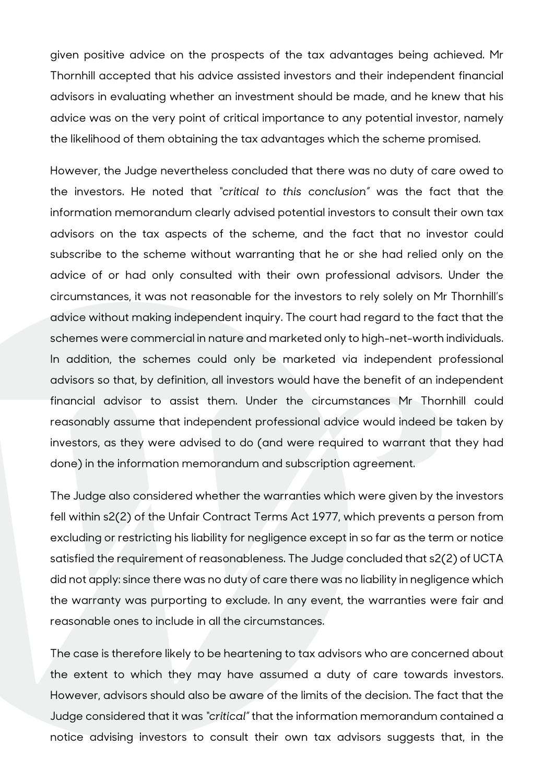given positive advice on the prospects of the tax advantages being achieved. Mr Thornhill accepted that his advice assisted investors and their independent financial advisors in evaluating whether an investment should be made, and he knew that his advice was on the very point of critical importance to any potential investor, namely the likelihood of them obtaining the tax advantages which the scheme promised.

However, the Judge nevertheless concluded that there was no duty of care owed to the investors. He noted that *"critical to this conclusion"* was the fact that the information memorandum clearly advised potential investors to consult their own tax advisors on the tax aspects of the scheme, and the fact that no investor could subscribe to the scheme without warranting that he or she had relied only on the advice of or had only consulted with their own professional advisors. Under the circumstances, it was not reasonable for the investors to rely solely on Mr Thornhill's advice without making independent inquiry. The court had regard to the fact that the schemes were commercial in nature and marketed only to high-net-worth individuals. In addition, the schemes could only be marketed via independent professional advisors so that, by definition, all investors would have the benefit of an independent financial advisor to assist them. Under the circumstances Mr Thornhill could reasonably assume that independent professional advice would indeed be taken by investors, as they were advised to do (and were required to warrant that they had done) in the information memorandum and subscription agreement.

The Judge also considered whether the warranties which were given by the investors fell within s2(2) of the Unfair Contract Terms Act 1977, which prevents a person from excluding or restricting his liability for negligence except in so far as the term or notice satisfied the requirement of reasonableness. The Judge concluded that s2(2) of UCTA did not apply: since there was no duty of care there was no liability in negligence which the warranty was purporting to exclude. In any event, the warranties were fair and reasonable ones to include in all the circumstances.

The case is therefore likely to be heartening to tax advisors who are concerned about the extent to which they may have assumed a duty of care towards investors. However, advisors should also be aware of the limits of the decision. The fact that the Judge considered that it was *"critical"* that the information memorandum contained a notice advising investors to consult their own tax advisors suggests that, in the